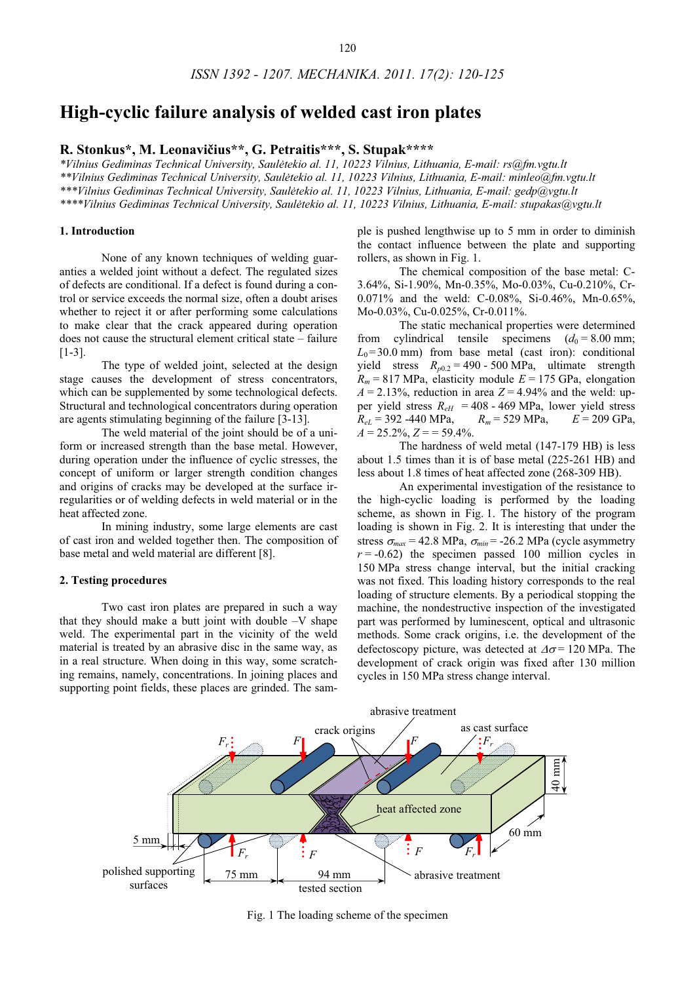# **High-cyclic failure analysis of welded cast iron plates**

R. Stonkus\*, M. Leonavičius\*\*, G. Petraitis\*\*\*, S. Stupak\*\*\*\*

*\*Vilnius Gediminas Technical University, Saultekio al. 11, 10223 Vilnius, Lithuania, E-mail: rs@fm.vgtu.lt \*\*Vilnius Gediminas Technical University, Saultekio al. 11, 10223 Vilnius, Lithuania, E-mail: minleo@fm.vgtu.lt \*\*\*Vilnius Gediminas Technical University, Saultekio al. 11, 10223 Vilnius, Lithuania, E-mail: gedp@vgtu.lt \*\*\*\*Vilnius Gediminas Technical University, Saultekio al. 11, 10223 Vilnius, Lithuania, E-mail: stupakas@vgtu.lt* 

crossref KWWSJIkkGIIIAGRLARUJKKTAŬKŸŬKMTKAPHFKAKXAVAHVŬ

#### **1. Introduction**

None of any known techniques of welding guaranties a welded joint without a defect. The regulated sizes of defects are conditional. If a defect is found during a control or service exceeds the normal size, often a doubt arises whether to reject it or after performing some calculations to make clear that the crack appeared during operation does not cause the structural element critical state – failure [1-3].

The type of welded joint, selected at the design stage causes the development of stress concentrators, which can be supplemented by some technological defects. Structural and technological concentrators during operation are agents stimulating beginning of the failure [3-13].

The weld material of the joint should be of a uniform or increased strength than the base metal. However, during operation under the influence of cyclic stresses, the concept of uniform or larger strength condition changes and origins of cracks may be developed at the surface irregularities or of welding defects in weld material or in the heat affected zone.

In mining industry, some large elements are cast of cast iron and welded together then. The composition of base metal and weld material are different [8].

## **2. Testing procedures**

Two cast iron plates are prepared in such a way that they should make a butt joint with double  $-V$  shape weld. The experimental part in the vicinity of the weld material is treated by an abrasive disc in the same way, as in a real structure. When doing in this way, some scratching remains, namely, concentrations. In joining places and supporting point fields, these places are grinded. The sample is pushed lengthwise up to 5 mm in order to diminish the contact influence between the plate and supporting rollers, as shown in Fig. 1.

The chemical composition of the base metal: C-3.64%, Si-1.90%, Mn-0.35%, Mo-0.03%, Cu-0.210%, Cr-0.071% and the weld: C-0.08%, Si-0.46%, Mn-0.65%, Mo-0.03%, Cu-0.025%, Cr-0.011%.

The static mechanical properties were determined from cylindrical tensile specimens  $(d_0 = 8.00 \text{ mm})$ ;  $L_0$ =30.0 mm) from base metal (cast iron): conditional yield stress  $R_{p0.2} = 490 - 500 \text{ MPa}$ , ultimate strength  $R_m$  = 817 MPa, elasticity module  $E = 175$  GPa, elongation  $A = 2.13\%$ , reduction in area  $Z = 4.94\%$  and the weld: upper yield stress  $R_{eH} = 408 - 469 \text{ MPa}$ , lower yield stress  $R_{eL} = 392 - 440 \text{ MPa}$ ,  $R_m = 529 \text{ MPa}$ ,  $E = 209 \text{ GPa}$ ,  $R_{el}$  = 392 -440 MPa,  $A = 25.2\%, Z = 59.4\%$ .

The hardness of weld metal (147-179 HB) is less about 1.5 times than it is of base metal (225-261 HB) and less about 1.8 times of heat affected zone (268-309 HB).

An experimental investigation of the resistance to the high-cyclic loading is performed by the loading scheme, as shown in Fig. 1. The history of the program loading is shown in Fig. 2. It is interesting that under the stress  $\sigma_{max}$  = 42.8 MPa,  $\sigma_{min}$  = -26.2 MPa (cycle asymmetry  $r = -0.62$ ) the specimen passed 100 million cycles in 150 MPa stress change interval, but the initial cracking was not fixed. This loading history corresponds to the real loading of structure elements. By a periodical stopping the machine, the nondestructive inspection of the investigated part was performed by luminescent, optical and ultrasonic methods. Some crack origins, i.e. the development of the defectoscopy picture, was detected at  $\Delta \sigma = 120$  MPa. The development of crack origin was fixed after 130 million cycles in 150 MPa stress change interval.



Fig. 1 The loading scheme of the specimen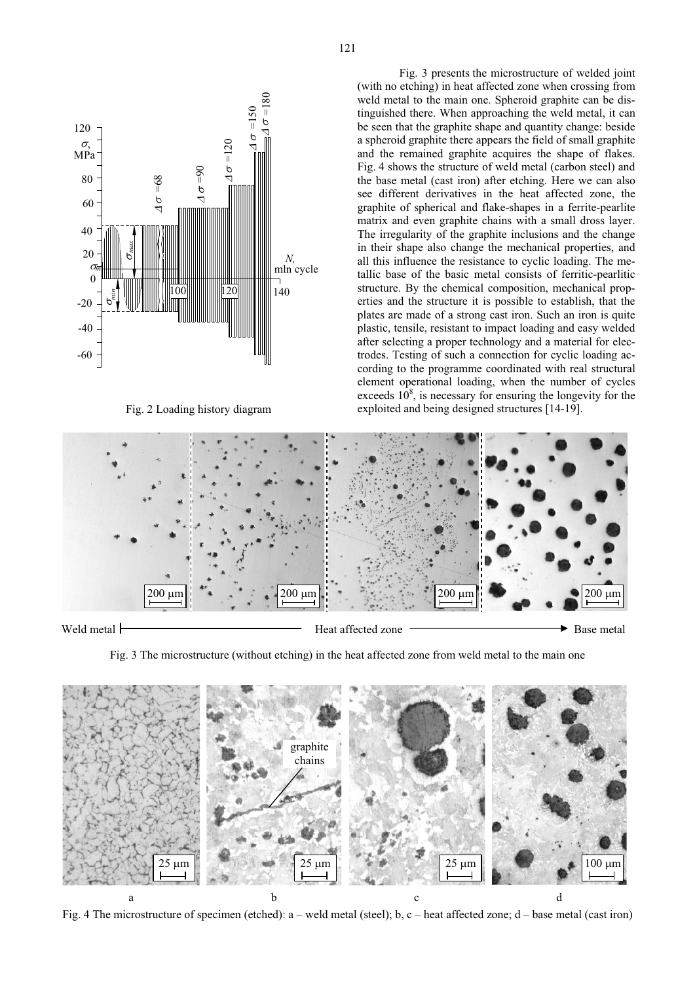

Fig. 2 Loading history diagram

Fig. 3 presents the microstructure of welded joint (with no etching) in heat affected zone when crossing from weld metal to the main one. Spheroid graphite can be distinguished there. When approaching the weld metal, it can be seen that the graphite shape and quantity change: beside a spheroid graphite there appears the field of small graphite and the remained graphite acquires the shape of flakes. Fig. 4 shows the structure of weld metal (carbon steel) and the base metal (cast iron) after etching. Here we can also see different derivatives in the heat affected zone, the graphite of spherical and flake-shapes in a ferrite-pearlite matrix and even graphite chains with a small dross layer. The irregularity of the graphite inclusions and the change in their shape also change the mechanical properties, and all this influence the resistance to cyclic loading. The metallic base of the basic metal consists of ferritic-pearlitic structure. By the chemical composition, mechanical properties and the structure it is possible to establish, that the plates are made of a strong cast iron. Such an iron is quite plastic, tensile, resistant to impact loading and easy welded after selecting a proper technology and a material for electrodes. Testing of such a connection for cyclic loading according to the programme coordinated with real structural element operational loading, when the number of cycles exceeds  $10^8$ , is necessary for ensuring the longevity for the exploited and being designed structures [14-19].



Fig. 3 The microstructure (without etching) in the heat affected zone from weld metal to the main one



Fig. 4 The microstructure of specimen (etched): a – weld metal (steel); b, c – heat affected zone; d – base metal (cast iron)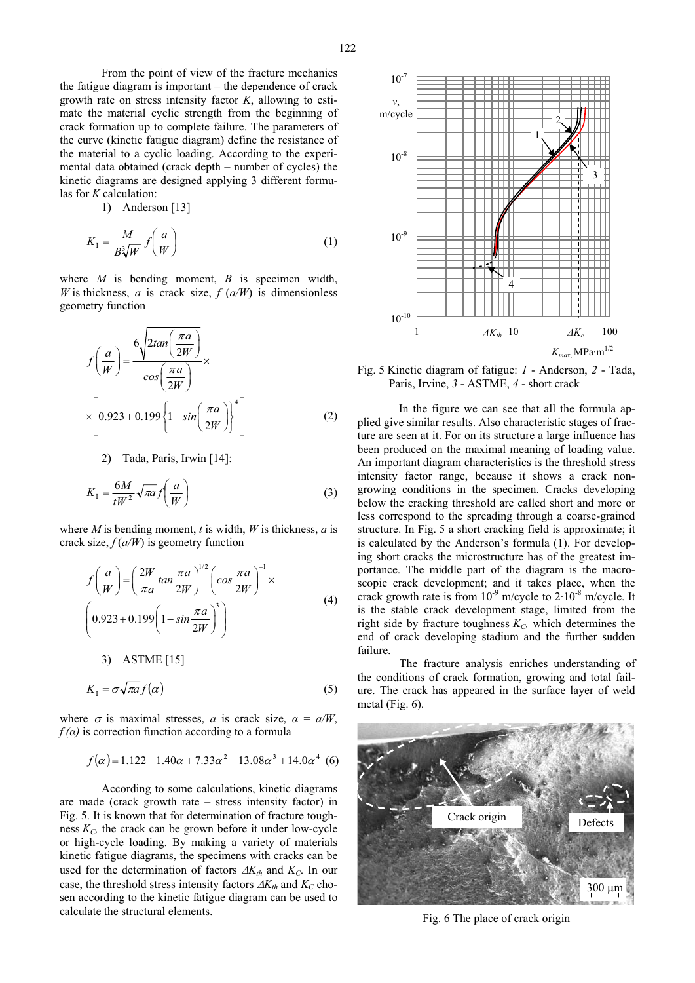From the point of view of the fracture mechanics the fatigue diagram is important – the dependence of crack growth rate on stress intensity factor *K*, allowing to estimate the material cyclic strength from the beginning of crack formation up to complete failure. The parameters of the curve (kinetic fatigue diagram) define the resistance of the material to a cyclic loading. According to the experimental data obtained (crack depth – number of cycles) the kinetic diagrams are designed applying 3 different formulas for *K* calculation:

1) Anderson [13]

$$
K_1 = \frac{M}{B\sqrt[3]{W}} f\left(\frac{a}{W}\right) \tag{1}
$$

where *M* is bending moment, *B* is specimen width, *W* is thickness, *a* is crack size,  $f(a/W)$  is dimensionless geometry function

$$
f\left(\frac{a}{W}\right) = \frac{6\sqrt{2\tan\left(\frac{\pi a}{2W}\right)}}{\cos\left(\frac{\pi a}{2W}\right)} \times \left[0.923 + 0.199\left\{1 - \sin\left(\frac{\pi a}{2W}\right)\right\}^4\right] \tag{2}
$$

2) Tada, Paris, Irwin [14]:

$$
K_1 = \frac{6M}{tW^2} \sqrt{\pi a} f\left(\frac{a}{W}\right) \tag{3}
$$

where *M* is bending moment, *t* is width, *W* is thickness, *a* is crack size,  $f(a/W)$  is geometry function

$$
f\left(\frac{a}{W}\right) = \left(\frac{2W}{\pi a} \tan \frac{\pi a}{2W}\right)^{1/2} \left(\cos \frac{\pi a}{2W}\right)^{-1} \times
$$
  
\n
$$
\left(0.923 + 0.199\left(1 - \sin \frac{\pi a}{2W}\right)^{3}\right)
$$
  
\n
$$
3) \quad \text{ASTME [15]}
$$
\n(4)

$$
K_1 = \sigma \sqrt{\pi a} f(\alpha) \tag{5}
$$

where  $\sigma$  is maximal stresses, *a* is crack size,  $\alpha = a/W$ ,  $f(\alpha)$  is correction function according to a formula

$$
f(\alpha) = 1.122 - 1.40\alpha + 7.33\alpha^2 - 13.08\alpha^3 + 14.0\alpha^4
$$
 (6)

According to some calculations, kinetic diagrams are made (crack growth rate – stress intensity factor) in Fig. 5. It is known that for determination of fracture toughness  $K_C$ , the crack can be grown before it under low-cycle or high-cycle loading. By making a variety of materials kinetic fatigue diagrams, the specimens with cracks can be used for the determination of factors  $\Delta K_{th}$  and  $K_C$ . In our case, the threshold stress intensity factors  $\Delta K_{th}$  and  $K_C$  chosen according to the kinetic fatigue diagram can be used to calculate the structural elements.



Fig. 5 Kinetic diagram of fatigue: *1* - Anderson, *2* - Tada, Paris, Irvine, *3* - ASTME, *4* - short crack

In the figure we can see that all the formula applied give similar results. Also characteristic stages of fracture are seen at it. For on its structure a large influence has been produced on the maximal meaning of loading value. An important diagram characteristics is the threshold stress intensity factor range, because it shows a crack nongrowing conditions in the specimen. Cracks developing below the cracking threshold are called short and more or less correspond to the spreading through a coarse-grained structure. In Fig. 5 a short cracking field is approximate; it is calculated by the Anderson's formula (1). For developing short cracks the microstructure has of the greatest importance. The middle part of the diagram is the macroscopic crack development; and it takes place, when the crack growth rate is from  $10^{-9}$  m/cycle to  $2.10^{-8}$  m/cycle. It is the stable crack development stage, limited from the right side by fracture toughness  $K_C$ , which determines the end of crack developing stadium and the further sudden failure.

The fracture analysis enriches understanding of the conditions of crack formation, growing and total failure. The crack has appeared in the surface layer of weld metal (Fig. 6).



Fig. 6 The place of crack origin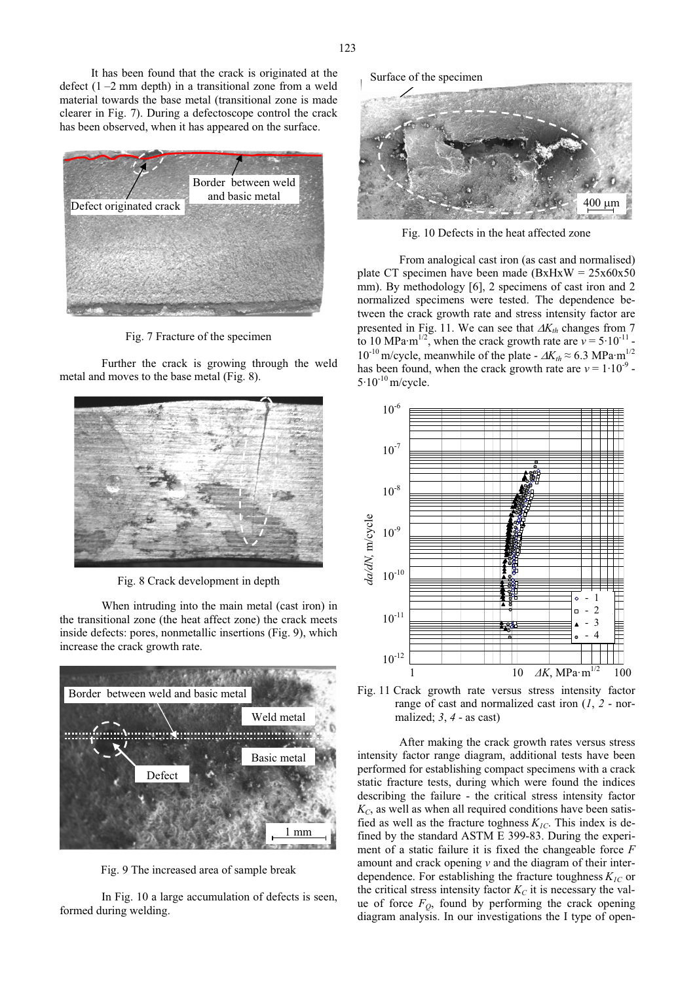It has been found that the crack is originated at the defect  $(1 - 2 \text{ mm depth})$  in a transitional zone from a weld material towards the base metal (transitional zone is made clearer in Fig. 7). During a defectoscope control the crack has been observed, when it has appeared on the surface.



Fig. 7 Fracture of the specimen

Further the crack is growing through the weld metal and moves to the base metal (Fig. 8).



Fig. 8 Crack development in depth

When intruding into the main metal (cast iron) in the transitional zone (the heat affect zone) the crack meets inside defects: pores, nonmetallic insertions (Fig. 9), which increase the crack growth rate.



Fig. 9 The increased area of sample break

In Fig. 10 a large accumulation of defects is seen, formed during welding.

Surface of the specimen



Fig. 10 Defects in the heat affected zone

From analogical cast iron (as cast and normalised) plate CT specimen have been made  $(BxHxW = 25x60x50$ mm). By methodology [6], 2 specimens of cast iron and 2 normalized specimens were tested. The dependence between the crack growth rate and stress intensity factor are presented in Fig. 11. We can see that  $\Delta K_{th}$  changes from 7 to 10 MPa·m<sup>1/2</sup>, when the crack growth rate are  $v = 5.10^{-11}$ .  $10^{-10}$  m/cycle, meanwhile of the plate -  $\Delta K_{th} \approx 6.3$  MPa·m<sup>1/2</sup> has been found, when the crack growth rate are  $v = 1.10^{-9}$  $5.10^{-10}$  m/cycle.



Fig. 11 Crack growth rate versus stress intensity factor range of cast and normalized cast iron (*1*, *2* - normalized; *3*, *4* - as cast)

After making the crack growth rates versus stress intensity factor range diagram, additional tests have been performed for establishing compact specimens with a crack static fracture tests, during which were found the indices describing the failure - the critical stress intensity factor  $K_C$ , as well as when all required conditions have been satisfied as well as the fracture toghness  $K_{IC}$ . This index is defined by the standard ASTM E 399-83. During the experiment of a static failure it is fixed the changeable force *F* amount and crack opening *v* and the diagram of their interdependence. For establishing the fracture toughness  $K_{IC}$  or the critical stress intensity factor  $K_C$  it is necessary the value of force  $F<sub>O</sub>$ , found by performing the crack opening diagram analysis. In our investigations the I type of open-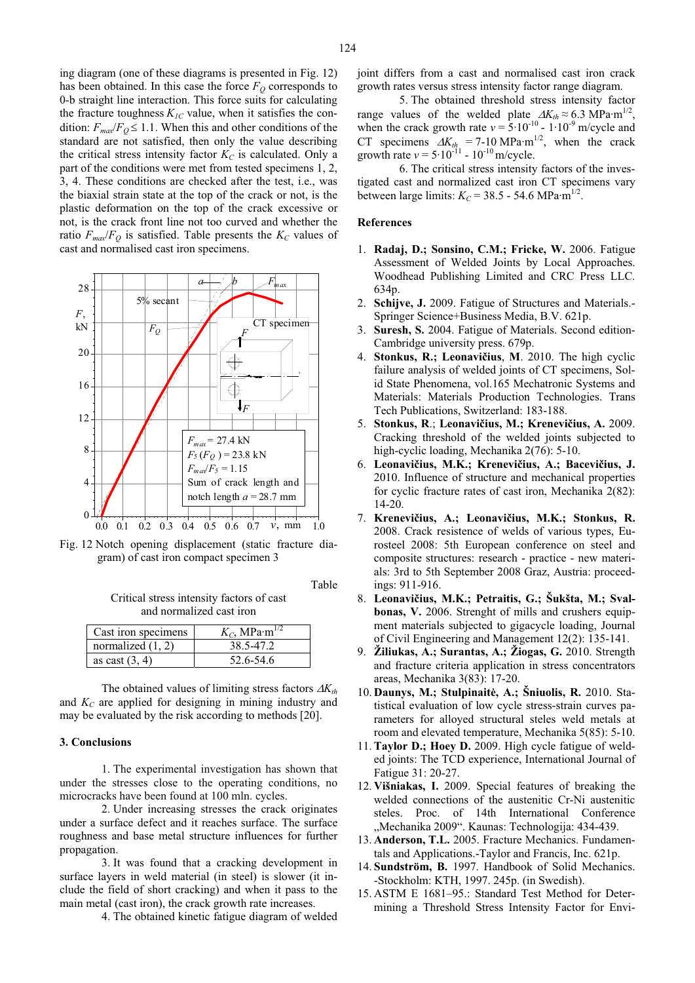ing diagram (one of these diagrams is presented in Fig. 12) has been obtained. In this case the force  $F<sub>O</sub>$  corresponds to 0-b straight line interaction. This force suits for calculating the fracture toughness  $K_{IC}$  value, when it satisfies the condition:  $F_{max}/F_Q \leq 1.1$ . When this and other conditions of the standard are not satisfied, then only the value describing the critical stress intensity factor  $K_C$  is calculated. Only a part of the conditions were met from tested specimens 1, 2, 3, 4. These conditions are checked after the test, i.e., was the biaxial strain state at the top of the crack or not, is the plastic deformation on the top of the crack excessive or not, is the crack front line not too curved and whether the ratio  $F_{max}/F_Q$  is satisfied. Table presents the  $K_C$  values of cast and normalised cast iron specimens.



Fig. 12 Notch opening displacement (static fracture diagram) of cast iron compact specimen 3

Table

Critical stress intensity factors of cast and normalized cast iron

| Cast iron specimens | $K_C$ , MPa·m <sup>1/2</sup> |
|---------------------|------------------------------|
| normalized $(1, 2)$ | 38.5-47.2                    |
| as cast $(3, 4)$    | 52.6-54.6                    |

The obtained values of limiting stress factors  $\Delta K_{th}$ and  $K_C$  are applied for designing in mining industry and may be evaluated by the risk according to methods [20].

#### **3. Conclusions**

1. The experimental investigation has shown that under the stresses close to the operating conditions, no microcracks have been found at 100 mln. cycles.

2. Under increasing stresses the crack originates under a surface defect and it reaches surface. The surface roughness and base metal structure influences for further propagation.

3. It was found that a cracking development in surface layers in weld material (in steel) is slower (it include the field of short cracking) and when it pass to the main metal (cast iron), the crack growth rate increases.

4. The obtained kinetic fatigue diagram of welded

joint differs from a cast and normalised cast iron crack growth rates versus stress intensity factor range diagram.

5. The obtained threshold stress intensity factor range values of the welded plate  $\Delta K_{th} \approx 6.3 \text{ MPa} \cdot \text{m}^{1/2}$ , when the crack growth rate  $v = 5.10^{-10}$  - 1.10<sup>-9</sup> m/cycle and CT specimens  $\Delta K_{th} = 7{\text -}10 \text{ MPa} \cdot \text{m}^{1/2}$ , when the crack growth rate  $v = 5.10^{-11} - 10^{-10}$  m/cycle.

6. The critical stress intensity factors of the investigated cast and normalized cast iron CT specimens vary between large limits:  $K_C = 38.5 - 54.6 \text{ MPa} \cdot \text{m}^{1/2}$ .

## **References**

- 1. **Radaj, D.; Sonsino, C.M.; Fricke, W.** 2006. Fatigue Assessment of Welded Joints by Local Approaches. Woodhead Publishing Limited and CRC Press LLC. 634p.
- 2. **Schijve, J.** 2009. Fatigue of Structures and Materials.- Springer Science+Business Media, B.V. 621p.
- 3. **Suresh, S.** 2004. Fatigue of Materials. Second edition-Cambridge university press. 679p.
- 4. **Stonkus, R.; Leonavičius, M.** 2010. The high cyclic failure analysis of welded joints of CT specimens, Solid State Phenomena, vol.165 Mechatronic Systems and Materials: Materials Production Technologies. Trans Tech Publications, Switzerland: 183-188.
- 5. Stonkus, R.; Leonavičius, M.; Krenevičius, A. 2009. Cracking threshold of the welded joints subjected to high-cyclic loading, Mechanika 2(76): 5-10.
- 6. Leonavičius, M.K.; Krenevičius, A.; Bacevičius, J. 2010. Influence of structure and mechanical properties for cyclic fracture rates of cast iron, Mechanika 2(82): 14-20.
- 7. Krenevičius, A.; Leonavičius, M.K.; Stonkus, R. 2008. Crack resistence of welds of various types, Eurosteel 2008: 5th European conference on steel and composite structures: research - practice - new materials: 3rd to 5th September 2008 Graz, Austria: proceedings: 911-916.
- 8. Leonavičius, M.K.; Petraitis, G.; Šukšta, M.; Sval**bonas, V.** 2006. Strenght of mills and crushers equipment materials subjected to gigacycle loading, Journal of Civil Engineering and Management 12(2): 135-141.
- 9. **Žiliukas, A.; Surantas, A.; Žiogas, G.** 2010. Strength and fracture criteria application in stress concentrators areas, Mechanika 3(83): 17-20.
- 10. **Daunys, M.; Stulpinaitė, A.; Šniuolis, R.** 2010. Statistical evaluation of low cycle stress-strain curves parameters for alloyed structural steles weld metals at room and elevated temperature, Mechanika 5(85): 5-10.
- 11. **Taylor D.; Hoey D.** 2009. High cycle fatigue of welded joints: The TCD experience, International Journal of Fatigue 31: 20-27.
- 12. **Višniakas, I.** 2009. Special features of breaking the welded connections of the austenitic Cr-Ni austenitic steles. Proc. of 14th International Conference "Mechanika 2009". Kaunas: Technologija: 434-439.
- 13. **Anderson, T.L.** 2005. Fracture Mechanics. Fundamentals and Applications.-Taylor and Francis, Inc. 621p.
- 14. **Sundström, B.** 1997. Handbook of Solid Mechanics. -Stockholm: KTH, 1997. 245p. (in Swedish).
- 15. ASTM E 1681–95.: Standard Test Method for Determining a Threshold Stress Intensity Factor for Envi-